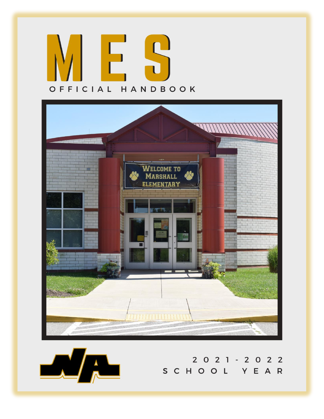





2021-2022<br>SCHOOL YEAR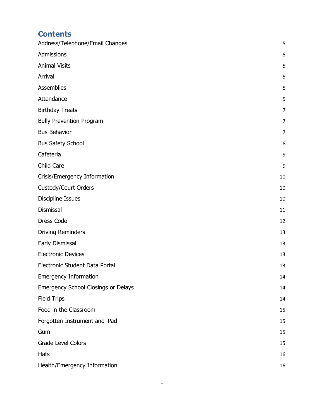# **Contents**

| Address/Telephone/Email Changes     | 5              |
|-------------------------------------|----------------|
| Admissions                          | 5              |
| <b>Animal Visits</b>                | 5              |
| Arrival                             | 5              |
| Assemblies                          | 5              |
| Attendance                          | 5              |
| <b>Birthday Treats</b>              | $\overline{7}$ |
| <b>Bully Prevention Program</b>     | $\overline{7}$ |
| <b>Bus Behavior</b>                 | $\overline{7}$ |
| <b>Bus Safety School</b>            | 8              |
| Cafeteria                           | 9              |
| Child Care                          | 9              |
| Crisis/Emergency Information        | 10             |
| Custody/Court Orders                | 10             |
| <b>Discipline Issues</b>            | 10             |
| Dismissal                           | 11             |
| <b>Dress Code</b>                   | 12             |
| <b>Driving Reminders</b>            | 13             |
| Early Dismissal                     | 13             |
| <b>Electronic Devices</b>           | 13             |
| Electronic Student Data Portal      | 13             |
| <b>Emergency Information</b>        | 14             |
| Emergency School Closings or Delays | 14             |
| <b>Field Trips</b>                  | 14             |
| Food in the Classroom               | 15             |
| Forgotten Instrument and iPad       | 15             |
| Gum                                 | 15             |
| Grade Level Colors                  | 15             |
| <b>Hats</b>                         | 16             |
| Health/Emergency Information        | 16             |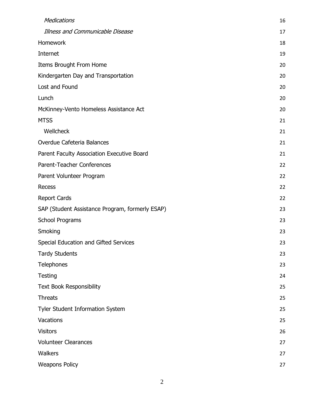| Medications                                     | 16 |
|-------------------------------------------------|----|
| Illness and Communicable Disease                | 17 |
| Homework                                        | 18 |
| Internet                                        | 19 |
| Items Brought From Home                         | 20 |
| Kindergarten Day and Transportation             | 20 |
| Lost and Found                                  | 20 |
| Lunch                                           | 20 |
| McKinney-Vento Homeless Assistance Act          | 20 |
| <b>MTSS</b>                                     | 21 |
| Wellcheck                                       | 21 |
| Overdue Cafeteria Balances                      | 21 |
| Parent Faculty Association Executive Board      | 21 |
| Parent-Teacher Conferences                      | 22 |
| Parent Volunteer Program                        | 22 |
| Recess                                          | 22 |
| <b>Report Cards</b>                             | 22 |
| SAP (Student Assistance Program, formerly ESAP) | 23 |
| School Programs                                 | 23 |
| Smoking                                         | 23 |
| Special Education and Gifted Services           | 23 |
| <b>Tardy Students</b>                           | 23 |
| Telephones                                      | 23 |
| <b>Testing</b>                                  | 24 |
| <b>Text Book Responsibility</b>                 | 25 |
| <b>Threats</b>                                  | 25 |
| Tyler Student Information System                | 25 |
| Vacations                                       | 25 |
| <b>Visitors</b>                                 | 26 |
| <b>Volunteer Clearances</b>                     | 27 |
| Walkers                                         | 27 |
| <b>Weapons Policy</b>                           | 27 |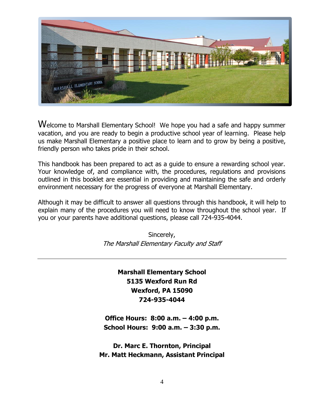

Welcome to Marshall Elementary School! We hope you had a safe and happy summer vacation, and you are ready to begin a productive school year of learning. Please help us make Marshall Elementary a positive place to learn and to grow by being a positive, friendly person who takes pride in their school.

This handbook has been prepared to act as a guide to ensure a rewarding school year. Your knowledge of, and compliance with, the procedures, regulations and provisions outlined in this booklet are essential in providing and maintaining the safe and orderly environment necessary for the progress of everyone at Marshall Elementary.

Although it may be difficult to answer all questions through this handbook, it will help to explain many of the procedures you will need to know throughout the school year. If you or your parents have additional questions, please call 724-935-4044.

> Sincerely, The Marshall Elementary Faculty and Staff

# **Marshall Elementary School 5135 Wexford Run Rd Wexford, PA 15090 724-935-4044**

**Office Hours: 8:00 a.m. – 4:00 p.m. School Hours: 9:00 a.m. – 3:30 p.m.**

**Dr. Marc E. Thornton, Principal Mr. Matt Heckmann, Assistant Principal**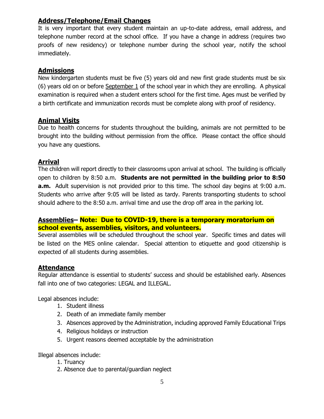### **Address/Telephone/Email Changes**

It is very important that every student maintain an up-to-date address, email address, and telephone number record at the school office. If you have a change in address (requires two proofs of new residency) or telephone number during the school year, notify the school immediately.

### **Admissions**

New kindergarten students must be five (5) years old and new first grade students must be six (6) years old on or before September 1 of the school year in which they are enrolling. A physical examination is required when a student enters school for the first time. Ages must be verified by a birth certificate and immunization records must be complete along with proof of residency.

### **Animal Visits**

Due to health concerns for students throughout the building, animals are not permitted to be brought into the building without permission from the office. Please contact the office should you have any questions.

### **Arrival**

The children will report directly to their classrooms upon arrival at school. The building is officially open to children by 8:50 a.m. **Students are not permitted in the building prior to 8:50 a.m.** Adult supervision is not provided prior to this time. The school day begins at 9:00 a.m. Students who arrive after 9:05 will be listed as tardy. Parents transporting students to school should adhere to the 8:50 a.m. arrival time and use the drop off area in the parking lot.

### **Assemblies– Note: Due to COVID-19, there is a temporary moratorium on school events, assemblies, visitors, and volunteers.**

Several assemblies will be scheduled throughout the school year. Specific times and dates will be listed on the MES online calendar. Special attention to etiquette and good citizenship is expected of all students during assemblies.

#### **Attendance**

Regular attendance is essential to students' success and should be established early. Absences fall into one of two categories: LEGAL and ILLEGAL.

Legal absences include:

- 1. Student illness
- 2. Death of an immediate family member
- 3. Absences approved by the Administration, including approved Family Educational Trips
- 4. Religious holidays or instruction
- 5. Urgent reasons deemed acceptable by the administration

Illegal absences include:

- 1. Truancy
- 2. Absence due to parental/guardian neglect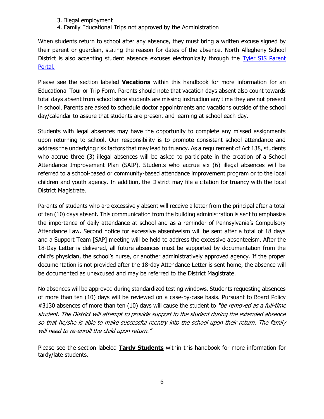- 3. Illegal employment
- 4. Family Educational Trips not approved by the Administration

When students return to school after any absence, they must bring a written excuse signed by their parent or guardian, stating the reason for dates of the absence. North Allegheny School District is also accepting student absence excuses electronically through the [Tyler SIS Parent](https://www.northallegheny.org/Page/32889)  [Portal.](https://www.northallegheny.org/Page/32889)

Please see the section labeled **Vacations** within this handbook for more information for an Educational Tour or Trip Form. Parents should note that vacation days absent also count towards total days absent from school since students are missing instruction any time they are not present in school. Parents are asked to schedule doctor appointments and vacations outside of the school day/calendar to assure that students are present and learning at school each day.

Students with legal absences may have the opportunity to complete any missed assignments upon returning to school. Our responsibility is to promote consistent school attendance and address the underlying risk factors that may lead to truancy. As a requirement of Act 138, students who accrue three (3) illegal absences will be asked to participate in the creation of a School Attendance Improvement Plan (SAIP). Students who accrue six (6) illegal absences will be referred to a school-based or community-based attendance improvement program or to the local children and youth agency. In addition, the District may file a citation for truancy with the local District Magistrate.

Parents of students who are excessively absent will receive a letter from the principal after a total of ten (10) days absent. This communication from the building administration is sent to emphasize the importance of daily attendance at school and as a reminder of Pennsylvania's Compulsory Attendance Law. Second notice for excessive absenteeism will be sent after a total of 18 days and a Support Team [SAP] meeting will be held to address the excessive absenteeism. After the 18-Day Letter is delivered, all future absences must be supported by documentation from the child's physician, the school's nurse, or another administratively approved agency. If the proper documentation is not provided after the 18-day Attendance Letter is sent home, the absence will be documented as unexcused and may be referred to the District Magistrate.

No absences will be approved during standardized testing windows. Students requesting absences of more than ten (10) days will be reviewed on a case-by-case basis. Pursuant to Board Policy #3130 absences of more than ten (10) days will cause the student to "be removed as a full-time student. The District will attempt to provide support to the student during the extended absence so that he/she is able to make successful reentry into the school upon their return. The family will need to re-enroll the child upon return."

Please see the section labeled **Tardy Students** within this handbook for more information for tardy/late students.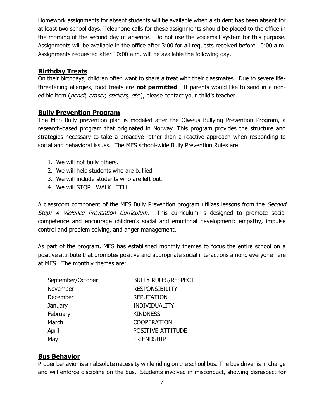Homework assignments for absent students will be available when a student has been absent for at least two school days. Telephone calls for these assignments should be placed to the office in the morning of the second day of absence. Do not use the voicemail system for this purpose. Assignments will be available in the office after 3:00 for all requests received before 10:00 a.m. Assignments requested after 10:00 a.m. will be available the following day.

#### **Birthday Treats**

On their birthdays, children often want to share a treat with their classmates. Due to severe lifethreatening allergies, food treats are **not permitted**. If parents would like to send in a nonedible item (*pencil, eraser, stickers, etc.*), please contact your child's teacher.

#### **Bully Prevention Program**

The MES Bully prevention plan is modeled after the Olweus Bullying Prevention Program, a research-based program that originated in Norway. This program provides the structure and strategies necessary to take a proactive rather than a reactive approach when responding to social and behavioral issues. The MES school-wide Bully Prevention Rules are:

- 1. We will not bully others.
- 2. We will help students who are bullied.
- 3. We will include students who are left out.
- 4. We will STOP WALK TELL.

A classroom component of the MES Bully Prevention program utilizes lessons from the *Second* Step: A Violence Prevention Curriculum. This curriculum is designed to promote social competence and encourage children's social and emotional development: empathy, impulse control and problem solving, and anger management.

As part of the program, MES has established monthly themes to focus the entire school on a positive attribute that promotes positive and appropriate social interactions among everyone here at MES. The monthly themes are:

| September/October | <b>BULLY RULES/RESPECT</b> |
|-------------------|----------------------------|
| November          | <b>RESPONSIBILITY</b>      |
| December          | <b>REPUTATION</b>          |
| January           | <b>INDIVIDUALITY</b>       |
| February          | <b>KINDNESS</b>            |
| March             | <b>COOPERATION</b>         |
| April             | POSITIVE ATTITUDE          |
| May               | <b>FRIENDSHIP</b>          |

#### **Bus Behavior**

Proper behavior is an absolute necessity while riding on the school bus. The bus driver is in charge and will enforce discipline on the bus. Students involved in misconduct, showing disrespect for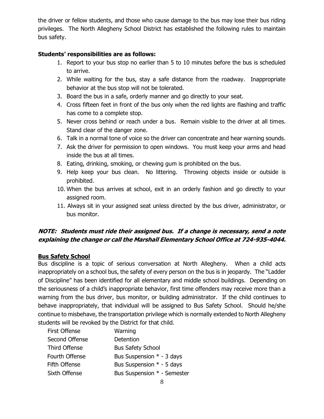the driver or fellow students, and those who cause damage to the bus may lose their bus riding privileges. The North Allegheny School District has established the following rules to maintain bus safety.

#### **Students' responsibilities are as follows:**

- 1. Report to your bus stop no earlier than 5 to 10 minutes before the bus is scheduled to arrive.
- 2. While waiting for the bus, stay a safe distance from the roadway. Inappropriate behavior at the bus stop will not be tolerated.
- 3. Board the bus in a safe, orderly manner and go directly to your seat.
- 4. Cross fifteen feet in front of the bus only when the red lights are flashing and traffic has come to a complete stop.
- 5. Never cross behind or reach under a bus. Remain visible to the driver at all times. Stand clear of the danger zone.
- 6. Talk in a normal tone of voice so the driver can concentrate and hear warning sounds.
- 7. Ask the driver for permission to open windows. You must keep your arms and head inside the bus at all times.
- 8. Eating, drinking, smoking, or chewing gum is prohibited on the bus.
- 9. Help keep your bus clean. No littering. Throwing objects inside or outside is prohibited.
- 10. When the bus arrives at school, exit in an orderly fashion and go directly to your assigned room.
- 11. Always sit in your assigned seat unless directed by the bus driver, administrator, or bus monitor.

### **NOTE: Students must ride their assigned bus. If a change is necessary, send a note explaining the change or call the Marshall Elementary School Office at 724-935-4044.**

#### **Bus Safety School**

Bus discipline is a topic of serious conversation at North Allegheny. When a child acts inappropriately on a school bus, the safety of every person on the bus is in jeopardy. The "Ladder of Discipline" has been identified for all elementary and middle school buildings. Depending on the seriousness of a child's inappropriate behavior, first time offenders may receive more than a warning from the bus driver, bus monitor, or building administrator. If the child continues to behave inappropriately, that individual will be assigned to Bus Safety School. Should he/she continue to misbehave, the transportation privilege which is normally extended to North Allegheny students will be revoked by the District for that child.

| First Offense        | Warning                     |
|----------------------|-----------------------------|
| Second Offense       | Detention                   |
| <b>Third Offense</b> | <b>Bus Safety School</b>    |
| Fourth Offense       | Bus Suspension $*$ - 3 days |
| Fifth Offense        | Bus Suspension $*$ - 5 days |
| Sixth Offense        | Bus Suspension * - Semester |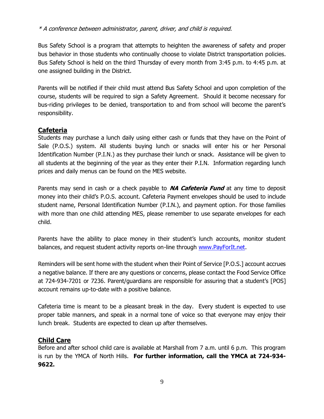#### \* A conference between administrator, parent, driver, and child is required.

Bus Safety School is a program that attempts to heighten the awareness of safety and proper bus behavior in those students who continually choose to violate District transportation policies. Bus Safety School is held on the third Thursday of every month from 3:45 p.m. to 4:45 p.m. at one assigned building in the District.

Parents will be notified if their child must attend Bus Safety School and upon completion of the course, students will be required to sign a Safety Agreement. Should it become necessary for bus-riding privileges to be denied, transportation to and from school will become the parent's responsibility.

### **Cafeteria**

Students may purchase a lunch daily using either cash or funds that they have on the Point of Sale (P.O.S.) system. All students buying lunch or snacks will enter his or her Personal Identification Number (P.I.N.) as they purchase their lunch or snack. Assistance will be given to all students at the beginning of the year as they enter their P.I.N. Information regarding lunch prices and daily menus can be found on the MES website.

Parents may send in cash or a check payable to **NA Cafeteria Fund** at any time to deposit money into their child's P.O.S. account. Cafeteria Payment envelopes should be used to include student name, Personal Identification Number (P.I.N.), and payment option. For those families with more than one child attending MES, please remember to use separate envelopes for each child.

Parents have the ability to place money in their student's lunch accounts, monitor student balances, and request student activity reports on-line through [www.PayForIt.net.](https://www.payforit.net/login.aspx)

Reminders will be sent home with the student when their Point of Service [P.O.S.] account accrues a negative balance. If there are any questions or concerns, please contact the Food Service Office at 724-934-7201 or 7236. Parent/guardians are responsible for assuring that a student's [POS] account remains up-to-date with a positive balance.

Cafeteria time is meant to be a pleasant break in the day. Every student is expected to use proper table manners, and speak in a normal tone of voice so that everyone may enjoy their lunch break. Students are expected to clean up after themselves.

#### **Child Care**

Before and after school child care is available at Marshall from 7 a.m. until 6 p.m. This program is run by the YMCA of North Hills. **For further information, call the YMCA at 724-934- 9622.**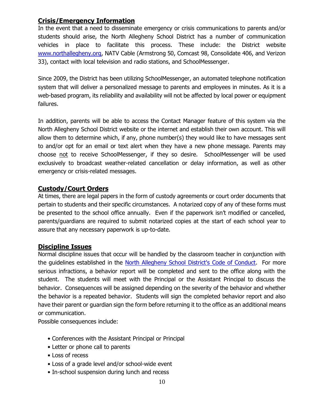#### **Crisis/Emergency Information**

In the event that a need to disseminate emergency or crisis communications to parents and/or students should arise, the North Allegheny School District has a number of communication vehicles in place to facilitate this process. These include: the District website [www.northallegheny.org,](http://www.northallegheny.org/) NATV Cable (Armstrong 50, Comcast 98, Consolidate 406, and Verizon 33), contact with local television and radio stations, and SchoolMessenger.

Since 2009, the District has been utilizing SchoolMessenger, an automated telephone notification system that will deliver a personalized message to parents and employees in minutes. As it is a web-based program, its reliability and availability will not be affected by local power or equipment failures.

In addition, parents will be able to access the Contact Manager feature of this system via the North Allegheny School District website or the internet and establish their own account. This will allow them to determine which, if any, phone number(s) they would like to have messages sent to and/or opt for an email or text alert when they have a new phone message. Parents may choose not to receive SchoolMessenger, if they so desire. SchoolMessenger will be used exclusively to broadcast weather-related cancellation or delay information, as well as other emergency or crisis-related messages.

### **Custody/Court Orders**

At times, there are legal papers in the form of custody agreements or court order documents that pertain to students and their specific circumstances. A notarized copy of any of these forms must be presented to the school office annually. Even if the paperwork isn't modified or cancelled, parents/guardians are required to submit notarized copies at the start of each school year to assure that any necessary paperwork is up-to-date.

### **Discipline Issues**

Normal discipline issues that occur will be handled by the classroom teacher in conjunction with the guidelines established in the North Allegheny [School District's Code of Conduct.](https://www.northallegheny.org/cms/lib/PA01001119/Centricity/Domain/1967/CodeOfConduct.pdf) For more serious infractions, a behavior report will be completed and sent to the office along with the student. The students will meet with the Principal or the Assistant Principal to discuss the behavior. Consequences will be assigned depending on the severity of the behavior and whether the behavior is a repeated behavior. Students will sign the completed behavior report and also have their parent or guardian sign the form before returning it to the office as an additional means or communication.

Possible consequences include:

- Conferences with the Assistant Principal or Principal
- Letter or phone call to parents
- Loss of recess
- Loss of a grade level and/or school-wide event
- In-school suspension during lunch and recess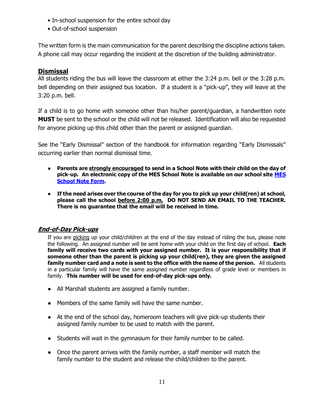- In-school suspension for the entire school day
- Out-of-school suspension

The written form is the main communication for the parent describing the discipline actions taken. A phone call may occur regarding the incident at the discretion of the building administrator.

### **Dismissal**

All students riding the bus will leave the classroom at either the 3:24 p.m. bell or the 3:28 p.m. bell depending on their assigned bus location. If a student is a "pick-up", they will leave at the 3:20 p.m. bell.

If a child is to go home with someone other than his/her parent/guardian, a handwritten note **MUST** be sent to the school or the child will not be released. Identification will also be requested for anyone picking up this child other than the parent or assigned guardian.

See the "Early Dismissal" section of the handbook for information regarding "Early Dismissals" occurring earlier than normal dismissal time.

- **Parents are strongly encouraged to send in a School Note with their child on the day of pick-up. An electronic copy of the MES School Note is available on our school site [MES](https://www.northallegheny.org/cms/lib/PA01001119/Centricity/Domain/1527/MES%20School%20Notes.pdf)  [School Note Form.](https://www.northallegheny.org/cms/lib/PA01001119/Centricity/Domain/1527/MES%20School%20Notes.pdf)**
- **If the need arises over the course of the day for you to pick up your child(ren) at school, please call the school before 2:00 p.m. DO NOT SEND AN EMAIL TO THE TEACHER. There is no guarantee that the email will be received in time.**

### **End-of-Day Pick-ups**

If you are picking up your child/children at the end of the day instead of riding the bus, please note the following. An assigned number will be sent home with your child on the first day of school. **Each family will receive two cards with your assigned number. It is your responsibility that if someone other than the parent is picking up your child(ren), they are given the assigned family number card and a note is sent to the office with the name of the person.** All students in a particular family will have the same assigned number regardless of grade level or members in family. **This number will be used for end-of-day pick-ups only.**

- All Marshall students are assigned a family number.
- Members of the same family will have the same number.
- At the end of the school day, homeroom teachers will give pick-up students their assigned family number to be used to match with the parent.
- Students will wait in the gymnasium for their family number to be called.
- Once the parent arrives with the family number, a staff member will match the family number to the student and release the child/children to the parent.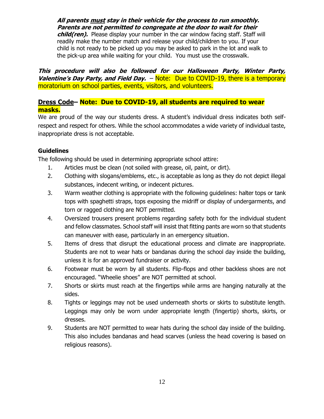**All parents must stay in their vehicle for the process to run smoothly. Parents are not permitted to congregate at the door to wait for their** 

**child(ren).** Please display your number in the car window facing staff. Staff will readily make the number match and release your child/children to you. If your child is not ready to be picked up you may be asked to park in the lot and walk to the pick-up area while waiting for your child. You must use the crosswalk.

**This procedure will also be followed for our Halloween Party, Winter Party, Valentine's Day Party, and Field Day.** – Note: Due to COVID-19, there is a temporary moratorium on school parties, events, visitors, and volunteers.

#### **Dress Code– Note: Due to COVID-19, all students are required to wear masks.**

We are proud of the way our students dress. A student's individual dress indicates both selfrespect and respect for others. While the school accommodates a wide variety of individual taste, inappropriate dress is not acceptable.

#### **Guidelines**

The following should be used in determining appropriate school attire:

- 1. Articles must be clean (not soiled with grease, oil, paint, or dirt).
- 2. Clothing with slogans/emblems, etc., is acceptable as long as they do not depict illegal substances, indecent writing, or indecent pictures.
- 3. Warm weather clothing is appropriate with the following guidelines: halter tops or tank tops with spaghetti straps, tops exposing the midriff or display of undergarments, and torn or ragged clothing are NOT permitted.
- 4. Oversized trousers present problems regarding safety both for the individual student and fellow classmates. School staff will insist that fitting pants are worn so that students can maneuver with ease, particularly in an emergency situation.
- 5. Items of dress that disrupt the educational process and climate are inappropriate. Students are not to wear hats or bandanas during the school day inside the building, unless it is for an approved fundraiser or activity.
- 6. Footwear must be worn by all students. Flip-flops and other backless shoes are not encouraged. "Wheelie shoes" are NOT permitted at school.
- 7. Shorts or skirts must reach at the fingertips while arms are hanging naturally at the sides.
- 8. Tights or leggings may not be used underneath shorts or skirts to substitute length. Leggings may only be worn under appropriate length (fingertip) shorts, skirts, or dresses.
- 9. Students are NOT permitted to wear hats during the school day inside of the building. This also includes bandanas and head scarves (unless the head covering is based on religious reasons).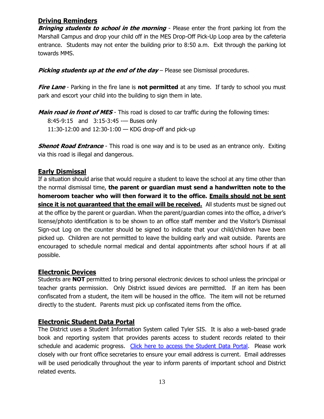#### **Driving Reminders**

**Bringing students to school in the morning** - Please enter the front parking lot from the Marshall Campus and drop your child off in the MES Drop-Off Pick-Up Loop area by the cafeteria entrance. Students may not enter the building prior to 8:50 a.m. Exit through the parking lot towards MMS.

**Picking students up at the end of the day** – Please see Dismissal procedures.

**Fire Lane** - Parking in the fire lane is **not permitted** at any time. If tardy to school you must park and escort your child into the building to sign them in late.

**Main road in front of MES** - This road is closed to car traffic during the following times:

8:45-9:15 and 3:15-3:45 - Buses only

11:30-12:00 and 12:30-1:00 — KDG drop-off and pick-up

**Shenot Road Entrance** - This road is one way and is to be used as an entrance only. Exiting via this road is illegal and dangerous.

# **Early Dismissal**

If a situation should arise that would require a student to leave the school at any time other than the normal dismissal time, **the parent or guardian must send a handwritten note to the homeroom teacher who will then forward it to the office. Emails should not be sent since it is not guaranteed that the email will be received.** All students must be signed out at the office by the parent or guardian. When the parent/guardian comes into the office, a driver's license/photo identification is to be shown to an office staff member and the Visitor's Dismissal Sign-out Log on the counter should be signed to indicate that your child/children have been picked up. Children are not permitted to leave the building early and wait outside. Parents are encouraged to schedule normal medical and dental appointments after school hours if at all possible.

### **Electronic Devices**

Students are **NOT** permitted to bring personal electronic devices to school unless the principal or teacher grants permission. Only District issued devices are permitted. If an item has been confiscated from a student, the item will be housed in the office. The item will not be returned directly to the student. Parents must pick up confiscated items from the office.

# **Electronic Student Data Portal**

The District uses a Student Information System called Tyler SIS. It is also a web-based grade book and reporting system that provides parents access to student records related to their schedule and academic progress. [Click here to access the Student Data Portal.](https://portal.northallegheny.org/tsi_live/) Please work closely with our front office secretaries to ensure your email address is current. Email addresses will be used periodically throughout the year to inform parents of important school and District related events.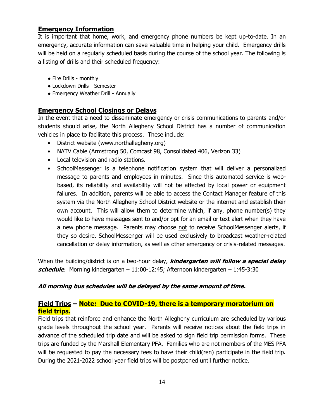#### **Emergency Information**

It is important that home, work, and emergency phone numbers be kept up-to-date. In an emergency, accurate information can save valuable time in helping your child. Emergency drills will be held on a regularly scheduled basis during the course of the school year. The following is a listing of drills and their scheduled frequency:

- Fire Drills monthly
- Lockdown Drills Semester
- Emergency Weather Drill Annually

### **Emergency School Closings or Delays**

In the event that a need to disseminate emergency or crisis communications to parents and/or students should arise, the North Allegheny School District has a number of communication vehicles in place to facilitate this process. These include:

- District website (www.northallegheny.org)
- NATV Cable (Armstrong 50, Comcast 98, Consolidated 406, Verizon 33)
- Local television and radio stations.
- SchoolMessenger is a telephone notification system that will deliver a personalized message to parents and employees in minutes. Since this automated service is webbased, its reliability and availability will not be affected by local power or equipment failures. In addition, parents will be able to access the Contact Manager feature of this system via the North Allegheny School District website or the internet and establish their own account. This will allow them to determine which, if any, phone number(s) they would like to have messages sent to and/or opt for an email or text alert when they have a new phone message. Parents may choose not to receive SchoolMessenger alerts, if they so desire. SchoolMessenger will be used exclusively to broadcast weather-related cancellation or delay information, as well as other emergency or crisis-related messages.

When the building/district is on a two-hour delay, **kindergarten will follow a special delay schedule**. Morning kindergarten – 11:00-12:45; Afternoon kindergarten – 1:45-3:30

#### **All morning bus schedules will be delayed by the same amount of time.**

### **Field Trips – Note: Due to COVID-19, there is a temporary moratorium on field trips.**

Field trips that reinforce and enhance the North Allegheny curriculum are scheduled by various grade levels throughout the school year. Parents will receive notices about the field trips in advance of the scheduled trip date and will be asked to sign field trip permission forms. These trips are funded by the Marshall Elementary PFA. Families who are not members of the MES PFA will be requested to pay the necessary fees to have their child(ren) participate in the field trip. During the 2021-2022 school year field trips will be postponed until further notice.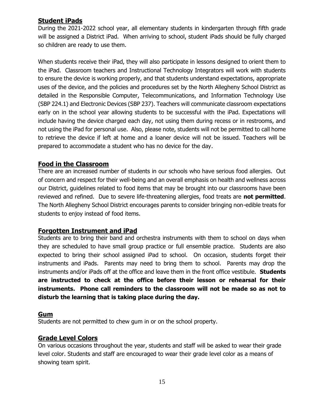#### **Student iPads**

During the 2021-2022 school year, all elementary students in kindergarten through fifth grade will be assigned a District iPad. When arriving to school, student iPads should be fully charged so children are ready to use them.

When students receive their iPad, they will also participate in lessons designed to orient them to the iPad. Classroom teachers and Instructional Technology Integrators will work with students to ensure the device is working properly, and that students understand expectations, appropriate uses of the device, and the policies and procedures set by the North Allegheny School District as detailed in the Responsible Computer, Telecommunications, and Information Technology Use (SBP 224.1) and Electronic Devices (SBP 237). Teachers will communicate classroom expectations early on in the school year allowing students to be successful with the iPad. Expectations will include having the device charged each day, not using them during recess or in restrooms, and not using the iPad for personal use. Also, please note, students will not be permitted to call home to retrieve the device if left at home and a loaner device will not be issued. Teachers will be prepared to accommodate a student who has no device for the day.

### **Food in the Classroom**

There are an increased number of students in our schools who have serious food allergies. Out of concern and respect for their well-being and an overall emphasis on health and wellness across our District, guidelines related to food items that may be brought into our classrooms have been reviewed and refined. Due to severe life-threatening allergies, food treats are **not permitted**. The North Allegheny School District encourages parents to consider bringing non-edible treats for students to enjoy instead of food items.

#### **Forgotten Instrument and iPad**

Students are to bring their band and orchestra instruments with them to school on days when they are scheduled to have small group practice or full ensemble practice. Students are also expected to bring their school assigned iPad to school. On occasion, students forget their instruments and iPads. Parents may need to bring them to school. Parents may drop the instruments and/or iPads off at the office and leave them in the front office vestibule. **Students are instructed to check at the office before their lesson or rehearsal for their instruments. Phone call reminders to the classroom will not be made so as not to disturb the learning that is taking place during the day.**

#### **Gum**

Students are not permitted to chew gum in or on the school property.

### **Grade Level Colors**

On various occasions throughout the year, students and staff will be asked to wear their grade level color. Students and staff are encouraged to wear their grade level color as a means of showing team spirit.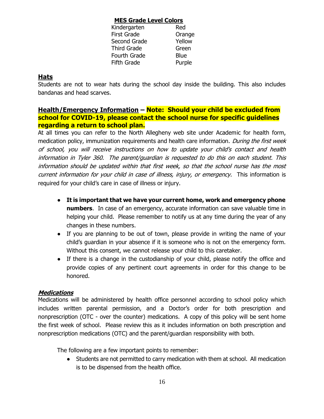#### **MES Grade Level Colors**

| Kindergarten | Red         |
|--------------|-------------|
| First Grade  | Orange      |
| Second Grade | Yellow      |
| Third Grade  | Green       |
| Fourth Grade | <b>Blue</b> |
| Fifth Grade  | Purple      |
|              |             |

### **Hats**

Students are not to wear hats during the school day inside the building. This also includes bandanas and head scarves.

### **Health/Emergency Information – Note: Should your child be excluded from school for COVID-19, please contact the school nurse for specific guidelines regarding a return to school plan.**

At all times you can refer to the North Allegheny web site under Academic for health form, medication policy, immunization requirements and health care information. During the first week of school, you will receive instructions on how to update your child's contact and health information in Tyler 360. The parent/guardian is requested to do this on each student. This information should be updated within that first week, so that the school nurse has the most current information for your child in case of illness, injury, or emergency. This information is required for your child's care in case of illness or injury.

- **It is important that we have your current home, work and emergency phone numbers**. In case of an emergency, accurate information can save valuable time in helping your child. Please remember to notify us at any time during the year of any changes in these numbers.
- If you are planning to be out of town, please provide in writing the name of your child's guardian in your absence if it is someone who is not on the emergency form. Without this consent, we cannot release your child to this caretaker.
- If there is a change in the custodianship of your child, please notify the office and provide copies of any pertinent court agreements in order for this change to be honored.

### **Medications**

Medications will be administered by health office personnel according to school policy which includes written parental permission, and a Doctor's order for both prescription and nonprescription (OTC - over the counter) medications. A copy of this policy will be sent home the first week of school. Please review this as it includes information on both prescription and nonprescription medications (OTC) and the parent/guardian responsibility with both.

The following are a few important points to remember:

● Students are not permitted to carry medication with them at school. All medication is to be dispensed from the health office.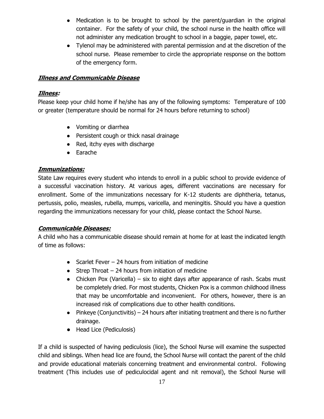- Medication is to be brought to school by the parent/guardian in the original container. For the safety of your child, the school nurse in the health office will not administer any medication brought to school in a baggie, paper towel, etc.
- Tylenol may be administered with parental permission and at the discretion of the school nurse. Please remember to circle the appropriate response on the bottom of the emergency form.

### **Illness and Communicable Disease**

#### **Illness:**

Please keep your child home if he/she has any of the following symptoms: Temperature of 100 or greater (temperature should be normal for 24 hours before returning to school)

- Vomiting or diarrhea
- Persistent cough or thick nasal drainage
- Red, itchy eyes with discharge
- Earache

### **Immunizations:**

State Law requires every student who intends to enroll in a public school to provide evidence of a successful vaccination history. At various ages, different vaccinations are necessary for enrollment. Some of the immunizations necessary for K-12 students are diphtheria, tetanus, pertussis, polio, measles, rubella, mumps, varicella, and meningitis. Should you have a question regarding the immunizations necessary for your child, please contact the School Nurse.

#### **Communicable Diseases:**

A child who has a communicable disease should remain at home for at least the indicated length of time as follows:

- Scarlet Fever  $-$  24 hours from initiation of medicine
- $\bullet$  Strep Throat 24 hours from initiation of medicine
- Chicken Pox (Varicella) six to eight days after appearance of rash. Scabs must be completely dried. For most students, Chicken Pox is a common childhood illness that may be uncomfortable and inconvenient. For others, however, there is an increased risk of complications due to other health conditions.
- $\bullet$  Pinkeye (Conjunctivitis) 24 hours after initiating treatment and there is no further drainage.
- Head Lice (Pediculosis)

If a child is suspected of having pediculosis (lice), the School Nurse will examine the suspected child and siblings. When head lice are found, the School Nurse will contact the parent of the child and provide educational materials concerning treatment and environmental control. Following treatment (This includes use of pediculocidal agent and nit removal), the School Nurse will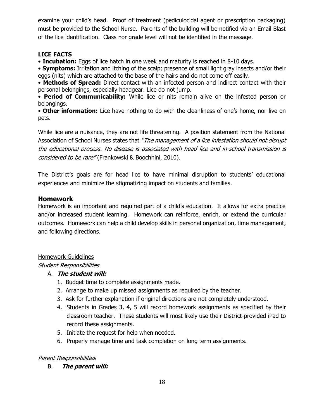examine your child's head. Proof of treatment (pediculocidal agent or prescription packaging) must be provided to the School Nurse. Parents of the building will be notified via an Email Blast of the lice identification. Class nor grade level will not be identified in the message.

#### **LICE FACTS**

• **Incubation:** Eggs of lice hatch in one week and maturity is reached in 8-10 days.

• **Symptoms:** Irritation and itching of the scalp; presence of small light gray insects and/or their eggs (nits) which are attached to the base of the hairs and do not come off easily.

• **Methods of Spread:** Direct contact with an infected person and indirect contact with their personal belongings, especially headgear. Lice do not jump.

• **Period of Communicability:** While lice or nits remain alive on the infested person or belongings.

• **Other information:** Lice have nothing to do with the cleanliness of one's home, nor live on pets.

While lice are a nuisance, they are not life threatening. A position statement from the National Association of School Nurses states that "The management of a lice infestation should not disrupt the educational process. No disease is associated with head lice and in-school transmission is considered to be rare" (Frankowski & Boochhini, 2010).

The District's goals are for head lice to have minimal disruption to students' educational experiences and minimize the stigmatizing impact on students and families.

### **Homework**

Homework is an important and required part of a child's education. It allows for extra practice and/or increased student learning. Homework can reinforce, enrich, or extend the curricular outcomes. Homework can help a child develop skills in personal organization, time management, and following directions.

#### Homework Guidelines

#### Student Responsibilities

### A. **The student will:**

- 1. Budget time to complete assignments made.
- 2. Arrange to make up missed assignments as required by the teacher.
- 3. Ask for further explanation if original directions are not completely understood.
- 4. Students in Grades 3, 4, 5 will record homework assignments as specified by their classroom teacher. These students will most likely use their District-provided iPad to record these assignments.
- 5. Initiate the request for help when needed.
- 6. Properly manage time and task completion on long term assignments.

#### Parent Responsibilities

B. **The parent will:**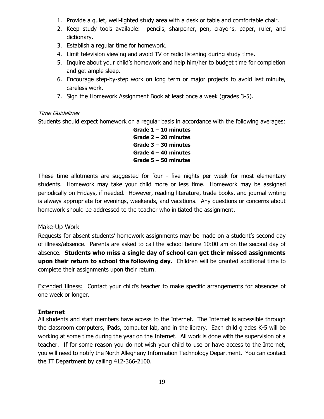- 1. Provide a quiet, well-lighted study area with a desk or table and comfortable chair.
- 2. Keep study tools available: pencils, sharpener, pen, crayons, paper, ruler, and dictionary.
- 3. Establish a regular time for homework.
- 4. Limit television viewing and avoid TV or radio listening during study time.
- 5. Inquire about your child's homework and help him/her to budget time for completion and get ample sleep.
- 6. Encourage step-by-step work on long term or major projects to avoid last minute, careless work.
- 7. Sign the Homework Assignment Book at least once a week (grades 3-5).

#### Time Guidelines

Students should expect homework on a regular basis in accordance with the following averages:

**Grade 1 – 10 minutes Grade 2 – 20 minutes Grade 3 – 30 minutes Grade 4 – 40 minutes Grade 5 – 50 minutes**

These time allotments are suggested for four - five nights per week for most elementary students. Homework may take your child more or less time. Homework may be assigned periodically on Fridays, if needed. However, reading literature, trade books, and journal writing is always appropriate for evenings, weekends, and vacations. Any questions or concerns about homework should be addressed to the teacher who initiated the assignment.

#### Make-Up Work

Requests for absent students' homework assignments may be made on a student's second day of illness/absence. Parents are asked to call the school before 10:00 am on the second day of absence. **Students who miss a single day of school can get their missed assignments upon their return to school the following day**. Children will be granted additional time to complete their assignments upon their return.

Extended Illness: Contact your child's teacher to make specific arrangements for absences of one week or longer.

#### **Internet**

All students and staff members have access to the Internet. The Internet is accessible through the classroom computers, iPads, computer lab, and in the library. Each child grades K-5 will be working at some time during the year on the Internet. All work is done with the supervision of a teacher. If for some reason you do not wish your child to use or have access to the Internet, you will need to notify the North Allegheny Information Technology Department. You can contact the IT Department by calling 412-366-2100.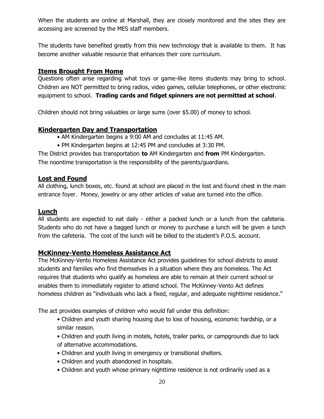When the students are online at Marshall, they are closely monitored and the sites they are accessing are screened by the MES staff members.

The students have benefited greatly from this new technology that is available to them. It has become another valuable resource that enhances their core curriculum.

### **Items Brought From Home**

Questions often arise regarding what toys or game-like items students may bring to school. Children are NOT permitted to bring radios, video games, cellular telephones, or other electronic equipment to school. **Trading cards and fidget spinners are not permitted at school**.

Children should not bring valuables or large sums (over \$5.00) of money to school.

### **Kindergarten Day and Transportation**

- AM Kindergarten begins a 9:00 AM and concludes at 11:45 AM.
- PM Kindergarten begins at 12:45 PM and concludes at 3:30 PM.

The District provides bus transportation **to** AM Kindergarten and **from** PM Kindergarten. The noontime transportation is the responsibility of the parents/guardians.

#### **Lost and Found**

All clothing, lunch boxes, etc. found at school are placed in the lost and found chest in the main entrance foyer. Money, jewelry or any other articles of value are turned into the office.

#### **Lunch**

All students are expected to eat daily - either a packed lunch or a lunch from the cafeteria. Students who do not have a bagged lunch or money to purchase a lunch will be given a lunch from the cafeteria. The cost of the lunch will be billed to the student's P.O.S. account.

### **McKinney-Vento Homeless Assistance Act**

The McKinney-Vento Homeless Assistance Act provides guidelines for school districts to assist students and families who find themselves in a situation where they are homeless. The Act requires that students who qualify as homeless are able to remain at their current school or enables them to immediately register to attend school. The McKinney-Vento Act defines homeless children as "individuals who lack a fixed, regular, and adequate nighttime residence."

The act provides examples of children who would fall under this definition:

- Children and youth sharing housing due to loss of housing, economic hardship, or a similar reason.
- Children and youth living in motels, hotels, trailer parks, or campgrounds due to lack of alternative accommodations.
- Children and youth living in emergency or transitional shelters.
- Children and youth abandoned in hospitals.
- Children and youth whose primary nighttime residence is not ordinarily used as a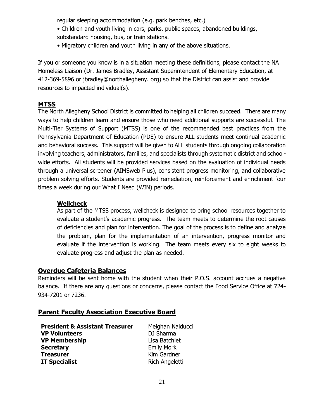regular sleeping accommodation (e.g. park benches, etc.)

- Children and youth living in cars, parks, public spaces, abandoned buildings, substandard housing, bus, or train stations.
- Migratory children and youth living in any of the above situations.

If you or someone you know is in a situation meeting these definitions, please contact the NA Homeless Liaison (Dr. James Bradley, Assistant Superintendent of Elementary Education, at 412-369-5896 or jbradley@northallegheny. org) so that the District can assist and provide resources to impacted individual(s).

### **MTSS**

The North Allegheny School District is committed to helping all children succeed. There are many ways to help children learn and ensure those who need additional supports are successful. The Multi-Tier Systems of Support (MTSS) is one of the recommended best practices from the Pennsylvania Department of Education (PDE) to ensure ALL students meet continual academic and behavioral success. This support will be given to ALL students through ongoing collaboration involving teachers, administrators, families, and specialists through systematic district and schoolwide efforts. All students will be provided services based on the evaluation of individual needs through a universal screener (AIMSweb Plus), consistent progress monitoring, and collaborative problem solving efforts. Students are provided remediation, reinforcement and enrichment four times a week during our What I Need (WIN) periods.

### **Wellcheck**

As part of the MTSS process, wellcheck is designed to bring school resources together to evaluate a student's academic progress. The team meets to determine the root causes of deficiencies and plan for intervention. The goal of the process is to define and analyze the problem, plan for the implementation of an intervention, progress monitor and evaluate if the intervention is working. The team meets every six to eight weeks to evaluate progress and adjust the plan as needed.

#### **Overdue Cafeteria Balances**

Reminders will be sent home with the student when their P.O.S. account accrues a negative balance. If there are any questions or concerns, please contact the Food Service Office at 724- 934-7201 or 7236.

### **Parent Faculty Association Executive Board**

| <b>President &amp; Assistant Treasurer</b> | Meighan Nalducci  |
|--------------------------------------------|-------------------|
| <b>VP Volunteers</b>                       | DJ Sharma         |
| <b>VP Membership</b>                       | Lisa Batchlet     |
| <b>Secretary</b>                           | <b>Emily Mork</b> |
| <b>Treasurer</b>                           | Kim Gardner       |
| <b>IT Specialist</b>                       | Rich Angeletti    |
|                                            |                   |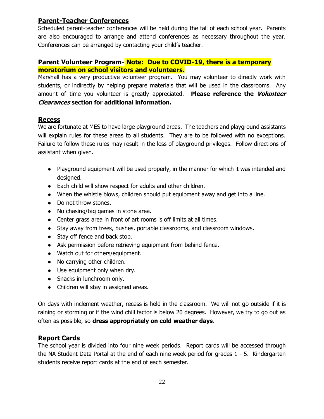### **Parent-Teacher Conferences**

Scheduled parent-teacher conferences will be held during the fall of each school year. Parents are also encouraged to arrange and attend conferences as necessary throughout the year. Conferences can be arranged by contacting your child's teacher.

### **Parent Volunteer Program- Note: Due to COVID-19, there is a temporary moratorium on school visitors and volunteers.**

Marshall has a very productive volunteer program. You may volunteer to directly work with students, or indirectly by helping prepare materials that will be used in the classrooms. Any amount of time you volunteer is greatly appreciated. **Please reference the Volunteer Clearances section for additional information.**

### **Recess**

We are fortunate at MES to have large playground areas. The teachers and playground assistants will explain rules for these areas to all students. They are to be followed with no exceptions. Failure to follow these rules may result in the loss of playground privileges. Follow directions of assistant when given.

- Playground equipment will be used properly, in the manner for which it was intended and designed.
- Each child will show respect for adults and other children.
- When the whistle blows, children should put equipment away and get into a line.
- Do not throw stones.
- No chasing/tag games in stone area.
- Center grass area in front of art rooms is off limits at all times.
- Stay away from trees, bushes, portable classrooms, and classroom windows.
- Stay off fence and back stop.
- Ask permission before retrieving equipment from behind fence.
- Watch out for others/equipment.
- No carrying other children.
- Use equipment only when dry.
- Snacks in lunchroom only.
- Children will stay in assigned areas.

On days with inclement weather, recess is held in the classroom. We will not go outside if it is raining or storming or if the wind chill factor is below 20 degrees. However, we try to go out as often as possible, so **dress appropriately on cold weather days**.

### **Report Cards**

The school year is divided into four nine week periods. Report cards will be accessed through the NA Student Data Portal at the end of each nine week period for grades 1 - 5. Kindergarten students receive report cards at the end of each semester.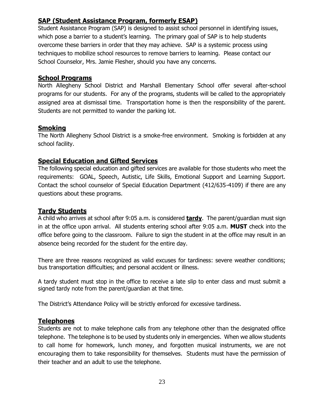### **SAP (Student Assistance Program, formerly ESAP)**

Student Assistance Program (SAP) is designed to assist school personnel in identifying issues, which pose a barrier to a student's learning. The primary goal of SAP is to help students overcome these barriers in order that they may achieve. SAP is a systemic process using techniques to mobilize school resources to remove barriers to learning. Please contact our School Counselor, Mrs. Jamie Flesher, should you have any concerns.

### **School Programs**

North Allegheny School District and Marshall Elementary School offer several after-school programs for our students. For any of the programs, students will be called to the appropriately assigned area at dismissal time. Transportation home is then the responsibility of the parent. Students are not permitted to wander the parking lot.

### **Smoking**

The North Allegheny School District is a smoke-free environment. Smoking is forbidden at any school facility.

### **Special Education and Gifted Services**

The following special education and gifted services are available for those students who meet the requirements: GOAL, Speech, Autistic, Life Skills, Emotional Support and Learning Support. Contact the school counselor of Special Education Department (412/635-4109) if there are any questions about these programs.

## **Tardy Students**

A child who arrives at school after 9:05 a.m. is considered **tardy**. The parent/guardian must sign in at the office upon arrival. All students entering school after 9:05 a.m. **MUST** check into the office before going to the classroom. Failure to sign the student in at the office may result in an absence being recorded for the student for the entire day.

There are three reasons recognized as valid excuses for tardiness: severe weather conditions; bus transportation difficulties; and personal accident or illness.

A tardy student must stop in the office to receive a late slip to enter class and must submit a signed tardy note from the parent/guardian at that time.

The District's Attendance Policy will be strictly enforced for excessive tardiness.

# **Telephones**

Students are not to make telephone calls from any telephone other than the designated office telephone. The telephone is to be used by students only in emergencies. When we allow students to call home for homework, lunch money, and forgotten musical instruments, we are not encouraging them to take responsibility for themselves. Students must have the permission of their teacher and an adult to use the telephone.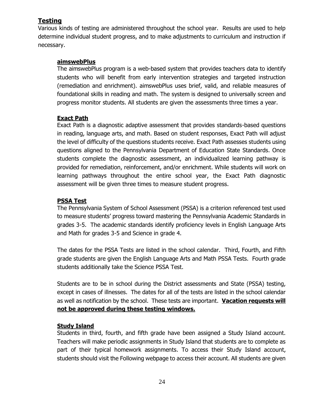#### **Testing**

Various kinds of testing are administered throughout the school year. Results are used to help determine individual student progress, and to make adjustments to curriculum and instruction if necessary.

#### **aimswebPlus**

The aimswebPlus program is a web-based system that provides teachers data to identify students who will benefit from early intervention strategies and targeted instruction (remediation and enrichment). aimswebPlus uses brief, valid, and reliable measures of foundational skills in reading and math. The system is designed to universally screen and progress monitor students. All students are given the assessments three times a year.

#### **Exact Path**

Exact Path is a diagnostic adaptive assessment that provides standards-based questions in reading, language arts, and math. Based on student responses, Exact Path will adjust the level of difficulty of the questions students receive. Exact Path assesses students using questions aligned to the Pennsylvania Department of Education State Standards. Once students complete the diagnostic assessment, an individualized learning pathway is provided for remediation, reinforcement, and/or enrichment. While students will work on learning pathways throughout the entire school year, the Exact Path diagnostic assessment will be given three times to measure student progress.

#### **PSSA Test**

The Pennsylvania System of School Assessment (PSSA) is a criterion referenced test used to measure students' progress toward mastering the Pennsylvania Academic Standards in grades 3-5. The academic standards identify proficiency levels in English Language Arts and Math for grades 3-5 and Science in grade 4.

The dates for the PSSA Tests are listed in the school calendar. Third, Fourth, and Fifth grade students are given the English Language Arts and Math PSSA Tests. Fourth grade students additionally take the Science PSSA Test.

Students are to be in school during the District assessments and State (PSSA) testing, except in cases of illnesses. The dates for all of the tests are listed in the school calendar as well as notification by the school. These tests are important. **Vacation requests will not be approved during these testing windows.**

#### **Study Island**

Students in third, fourth, and fifth grade have been assigned a Study Island account. Teachers will make periodic assignments in Study Island that students are to complete as part of their typical homework assignments. To access their Study Island account, students should visit the Following webpage to access their account. All students are given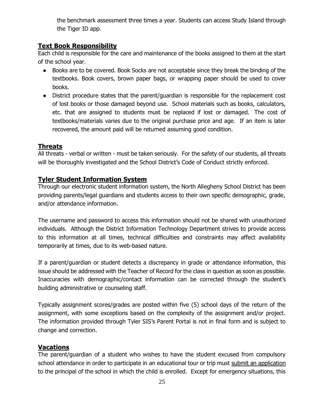the benchmark assessment three times a year. Students can access Study Island through the Tiger ID app.

### **Text Book Responsibility**

Each child is responsible for the care and maintenance of the books assigned to them at the start of the school year.

- Books are to be covered. Book Socks are not acceptable since they break the binding of the textbooks. Book covers, brown paper bags, or wrapping paper should be used to cover books.
- District procedure states that the parent/guardian is responsible for the replacement cost of lost books or those damaged beyond use. School materials such as books, calculators, etc. that are assigned to students must be replaced if lost or damaged. The cost of textbooks/materials varies due to the original purchase price and age. If an item is later recovered, the amount paid will be returned assuming good condition.

# **Threats**

All threats - verbal or written - must be taken seriously. For the safety of our students, all threats will be thoroughly investigated and the School District's Code of Conduct strictly enforced.

### **Tyler Student Information System**

Through our electronic student information system, the North Allegheny School District has been providing parents/legal guardians and students access to their own specific demographic, grade, and/or attendance information.

The username and password to access this information should not be shared with unauthorized individuals. Although the District Information Technology Department strives to provide access to this information at all times, technical difficulties and constraints may affect availability temporarily at times, due to its web-based nature.

If a parent/guardian or student detects a discrepancy in grade or attendance information, this issue should be addressed with the Teacher of Record for the class in question as soon as possible. Inaccuracies with demographic/contact information can be corrected through the student's building administrative or counseling staff.

Typically assignment scores/grades are posted within five (5) school days of the return of the assignment, with some exceptions based on the complexity of the assignment and/or project. The information provided through Tyler SIS's Parent Portal is not in final form and is subject to change and correction.

# **Vacations**

The parent/guardian of a student who wishes to have the student excused from compulsory school attendance in order to participate in an educational tour or trip must submit an application to the principal of the school in which the child is enrolled. Except for emergency situations, this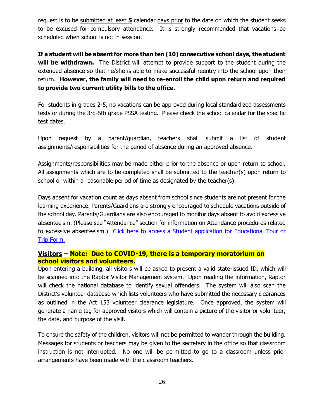request is to be submitted at least **5** calendar days prior to the date on which the student seeks to be excused for compulsory attendance. It is strongly recommended that vacations be scheduled when school is not in session.

**If a student will be absent for more than ten (10) consecutive school days, the student will be withdrawn.** The District will attempt to provide support to the student during the extended absence so that he/she is able to make successful reentry into the school upon their return. **However, the family will need to re-enroll the child upon return and required to provide two current utility bills to the office.** 

For students in grades 2-5, no vacations can be approved during local standardized assessments tests or during the 3rd-5th grade PSSA testing. Please check the school calendar for the specific test dates.

Upon request by a parent/guardian, teachers shall submit a list of student assignments/responsibilities for the period of absence during an approved absence.

Assignments/responsibilities may be made either prior to the absence or upon return to school. All assignments which are to be completed shall be submitted to the teacher(s) upon return to school or within a reasonable period of time as designated by the teacher(s).

Days absent for vacation count as days absent from school since students are not present for the learning experience. Parents/Guardians are strongly encouraged to schedule vacations outside of the school day. Parents/Guardians are also encouraged to monitor days absent to avoid excessive absenteeism. (Please see "Attendance" section for information on Attendance procedures related to excessive absenteeism.) [Click here to access a Student application for Educational Tour or](http://www.northallegheny.org/cms/lib9/PA01001119/Centricity/Domain/669/VacationForm.pdf)  [Trip Form.](http://www.northallegheny.org/cms/lib9/PA01001119/Centricity/Domain/669/VacationForm.pdf)

#### **Visitors – Note: Due to COVID-19, there is a temporary moratorium on school visitors and volunteers.**

Upon entering a building, all visitors will be asked to present a valid state-issued ID, which will be scanned into the Raptor Visitor Management system. Upon reading the information, Raptor will check the national database to identify sexual offenders. The system will also scan the District's volunteer database which lists volunteers who have submitted the necessary clearances as outlined in the Act 153 volunteer clearance legislature. Once approved, the system will generate a name tag for approved visitors which will contain a picture of the visitor or volunteer, the date, and purpose of the visit.

To ensure the safety of the children, visitors will not be permitted to wander through the building. Messages for students or teachers may be given to the secretary in the office so that classroom instruction is not interrupted. No one will be permitted to go to a classroom unless prior arrangements have been made with the classroom teachers.